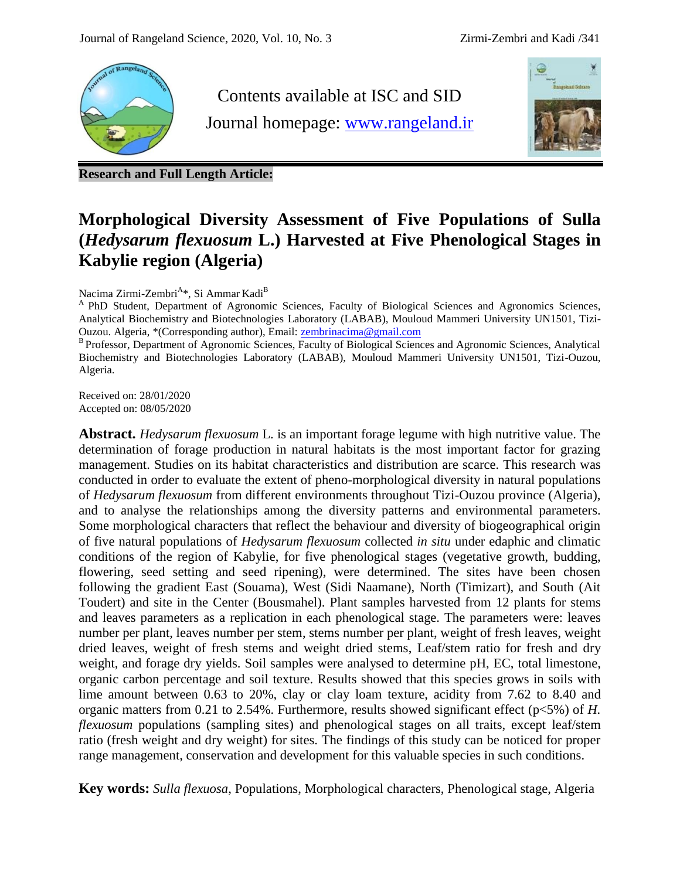

Contents available at ISC and SID Journal homepage: [www.rangeland.ir](http://www.rangeland.ir/)



**Research and Full Length Article:**

# **Morphological Diversity Assessment of Five Populations of Sulla (***Hedysarum flexuosum* **L.) Harvested at Five Phenological Stages in Kabylie region (Algeria)**

Nacima Zirmi-Zembri<sup>A</sup>\*, Si Ammar Kadi<sup>B</sup>

<sup>A</sup> PhD Student, Department of Agronomic Sciences, Faculty of Biological Sciences and Agronomics Sciences, Analytical Biochemistry and Biotechnologies Laboratory (LABAB), Mouloud Mammeri University UN1501, Tizi-Ouzou. Algeria, \*(Corresponding author), Email: [zembrinacima@gmail.com](mailto:zembrinacima@gmail.com)

B Professor, Department of Agronomic Sciences, Faculty of Biological Sciences and Agronomic Sciences, Analytical Biochemistry and Biotechnologies Laboratory (LABAB), Mouloud Mammeri University UN1501, Tizi-Ouzou, Algeria.

Received on: 28/01/2020 Accepted on: 08/05/2020

**Abstract.** *Hedysarum flexuosum* L. is an important forage legume with high nutritive value. The determination of forage production in natural habitats is the most important factor for grazing management. Studies on its habitat characteristics and distribution are scarce. This research was conducted in order to evaluate the extent of pheno-morphological diversity in natural populations of *Hedysarum flexuosum* from different environments throughout Tizi-Ouzou province (Algeria), and to analyse the relationships among the diversity patterns and environmental parameters. Some morphological characters that reflect the behaviour and diversity of biogeographical origin of five natural populations of *Hedysarum flexuosum* collected *in situ* under edaphic and climatic conditions of the region of Kabylie, for five phenological stages (vegetative growth, budding, flowering, seed setting and seed ripening), were determined. The sites have been chosen following the gradient East (Souama), West (Sidi Naamane), North (Timizart), and South (Ait Toudert) and site in the Center (Bousmahel). Plant samples harvested from 12 plants for stems and leaves parameters as a replication in each phenological stage. The parameters were: leaves number per plant, leaves number per stem, stems number per plant, weight of fresh leaves, weight dried leaves, weight of fresh stems and weight dried stems, Leaf/stem ratio for fresh and dry weight, and forage dry yields. Soil samples were analysed to determine pH, EC, total limestone, organic carbon percentage and soil texture. Results showed that this species grows in soils with lime amount between 0.63 to 20%, clay or clay loam texture, acidity from 7.62 to 8.40 and organic matters from 0.21 to 2.54%. Furthermore, results showed significant effect (p<5%) of *H. flexuosum* populations (sampling sites) and phenological stages on all traits, except leaf/stem ratio (fresh weight and dry weight) for sites. The findings of this study can be noticed for proper range management, conservation and development for this valuable species in such conditions.

**Key words:** *Sulla flexuosa*, Populations, Morphological characters, Phenological stage, Algeria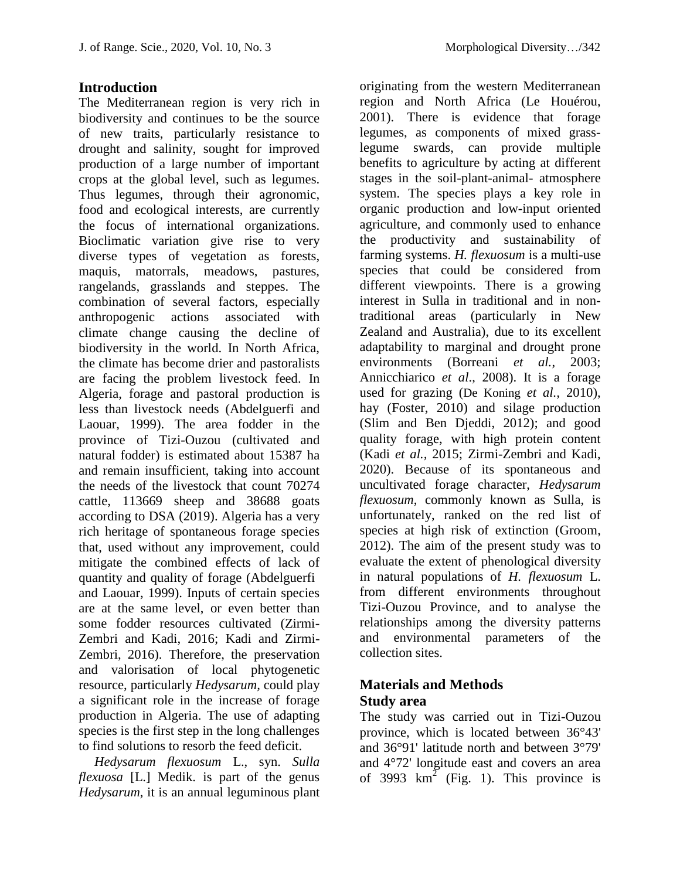### **Introduction**

The Mediterranean region is very rich in biodiversity and continues to be the source of new traits, particularly resistance to drought and salinity, sought for improved production of a large number of important crops at the global level, such as legumes. Thus legumes, through their agronomic, food and ecological interests, are currently the focus of international organizations. Bioclimatic variation give rise to very diverse types of vegetation as forests, maquis, matorrals, meadows, pastures, rangelands, grasslands and steppes. The combination of several factors, especially anthropogenic actions associated with climate change causing the decline of biodiversity in the world. In North Africa, the climate has become drier and pastoralists are facing the problem livestock feed. In Algeria, forage and pastoral production is less than livestock needs (Abdelguerfi and Laouar, 1999). The area fodder in the province of Tizi-Ouzou (cultivated and natural fodder) is estimated about 15387 ha and remain insufficient, taking into account the needs of the livestock that count 70274 cattle, 113669 sheep and 38688 goats according to DSA (2019). Algeria has a very rich heritage of spontaneous forage species that, used without any improvement, could mitigate the combined effects of lack of quantity and quality of forage (Abdelguerfi and Laouar, 1999). Inputs of certain species are at the same level, or even better than some fodder resources cultivated (Zirmi-Zembri and Kadi, 2016; Kadi and Zirmi-Zembri, 2016). Therefore, the preservation and valorisation of local phytogenetic resource, particularly *Hedysarum,* could play a significant role in the increase of forage production in Algeria. The use of adapting species is the first step in the long challenges to find solutions to resorb the feed deficit.

*Hedysarum flexuosum* L., syn. *Sulla flexuosa* [L.] Medik. is part of the genus *Hedysarum*, it is an annual leguminous plant

originating from the western Mediterranean region and North Africa (Le Houérou, 2001). There is evidence that forage legumes, as components of mixed grasslegume swards, can provide multiple benefits to agriculture by acting at different stages in the soil-plant-animal- atmosphere system. The species plays a key role in organic production and low-input oriented agriculture, and commonly used to enhance the productivity and sustainability of farming systems. *H. flexuosum* is a multi-use species that could be considered from different viewpoints. There is a growing interest in Sulla in traditional and in nontraditional areas (particularly in New Zealand and Australia), due to its excellent adaptability to marginal and drought prone environments (Borreani *et al.*, 2003; Annicchiarico *et al*., 2008). It is a forage used for grazing (De Koning *et al.,* 2010), hay (Foster, 2010) and silage production (Slim and Ben Djeddi, 2012); and good quality forage, with high protein content (Kadi *et al.,* 2015; Zirmi-Zembri and Kadi, 2020). Because of its spontaneous and uncultivated forage character, *Hedysarum flexuosum*, commonly known as Sulla, is unfortunately, ranked on the red list of species at high risk of extinction (Groom, 2012). The aim of the present study was to evaluate the extent of phenological diversity in natural populations of *H. flexuosum* L. from different environments throughout Tizi-Ouzou Province, and to analyse the relationships among the diversity patterns and environmental parameters of the collection sites.

# **Materials and Methods Study area**

The study was carried out in Tizi-Ouzou province, which is located between 36°43' and 36°91' latitude north and between 3°79' and 4°72' longitude east and covers an area of 3993  $\text{km}^2$  (Fig. 1). This province is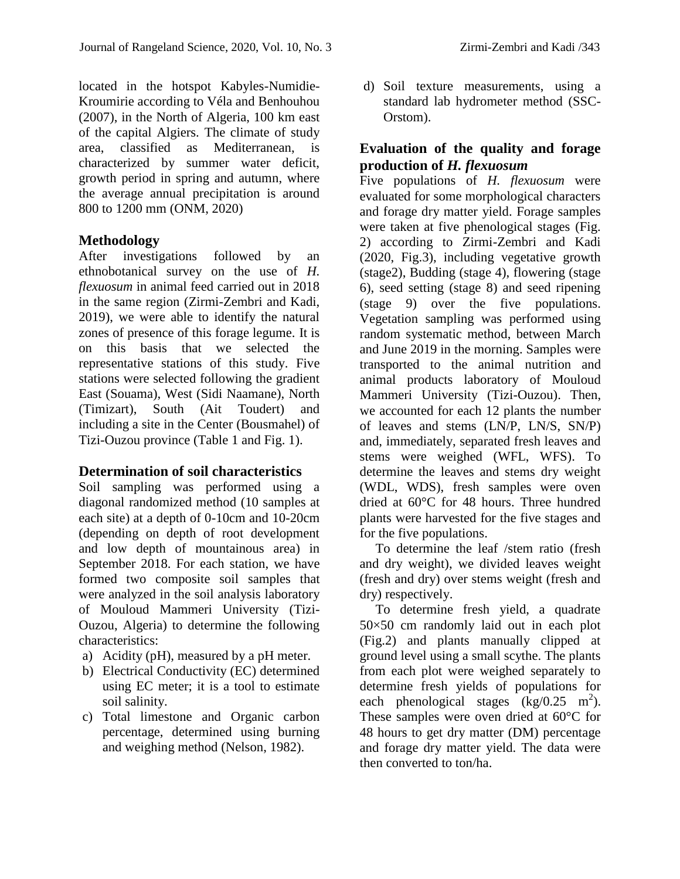located in the hotspot Kabyles-Numidie-Kroumirie according to Véla and Benhouhou (2007), in the North of Algeria, 100 km east of the capital Algiers. The climate of study area, classified as Mediterranean, is characterized by summer water deficit, growth period in spring and autumn, where the average annual precipitation is around 800 to 1200 mm (ONM, 2020)

### **Methodology**

After investigations followed by an ethnobotanical survey on the use of *H. flexuosum* in animal feed carried out in 2018 in the same region (Zirmi-Zembri and Kadi, 2019), we were able to identify the natural zones of presence of this forage legume. It is on this basis that we selected the representative stations of this study. Five stations were selected following the gradient East (Souama), West (Sidi Naamane), North (Timizart), South (Ait Toudert) and including a site in the Center (Bousmahel) of Tizi-Ouzou province (Table 1 and Fig. 1).

### **Determination of soil characteristics**

Soil sampling was performed using a diagonal randomized method (10 samples at each site) at a depth of 0-10cm and 10-20cm (depending on depth of root development and low depth of mountainous area) in September 2018. For each station, we have formed two composite soil samples that were analyzed in the soil analysis laboratory of Mouloud Mammeri University (Tizi-Ouzou, Algeria) to determine the following characteristics:

- a) Acidity (pH), measured by a pH meter.
- b) Electrical Conductivity (EC) determined using EC meter; it is a tool to estimate soil salinity.
- c) Total limestone and Organic carbon percentage, determined using burning and weighing method (Nelson, 1982).

d) Soil texture measurements, using a standard lab hydrometer method (SSC-Orstom).

# **Evaluation of the quality and forage production of** *H. flexuosum*

Five populations of *H. flexuosum* were evaluated for some morphological characters and forage dry matter yield. Forage samples were taken at five phenological stages (Fig. 2) according to Zirmi-Zembri and Kadi (2020, Fig.3), including vegetative growth (stage2), Budding (stage 4), flowering (stage 6), seed setting (stage 8) and seed ripening (stage 9) over the five populations. Vegetation sampling was performed using random systematic method, between March and June 2019 in the morning. Samples were transported to the animal nutrition and animal products laboratory of Mouloud Mammeri University (Tizi-Ouzou). Then, we accounted for each 12 plants the number of leaves and stems (LN/P, LN/S, SN/P) and, immediately, separated fresh leaves and stems were weighed (WFL, WFS). To determine the leaves and stems dry weight (WDL, WDS), fresh samples were oven dried at 60°C for 48 hours. Three hundred plants were harvested for the five stages and for the five populations.

To determine the leaf /stem ratio (fresh and dry weight), we divided leaves weight (fresh and dry) over stems weight (fresh and dry) respectively.

To determine fresh yield, a quadrate 50×50 cm randomly laid out in each plot (Fig.2) and plants manually clipped at ground level using a small scythe. The plants from each plot were weighed separately to determine fresh yields of populations for each phenological stages  $(\text{kg}/0.25 \text{ m}^2)$ . These samples were oven dried at 60°C for 48 hours to get dry matter (DM) percentage and forage dry matter yield. The data were then converted to ton/ha.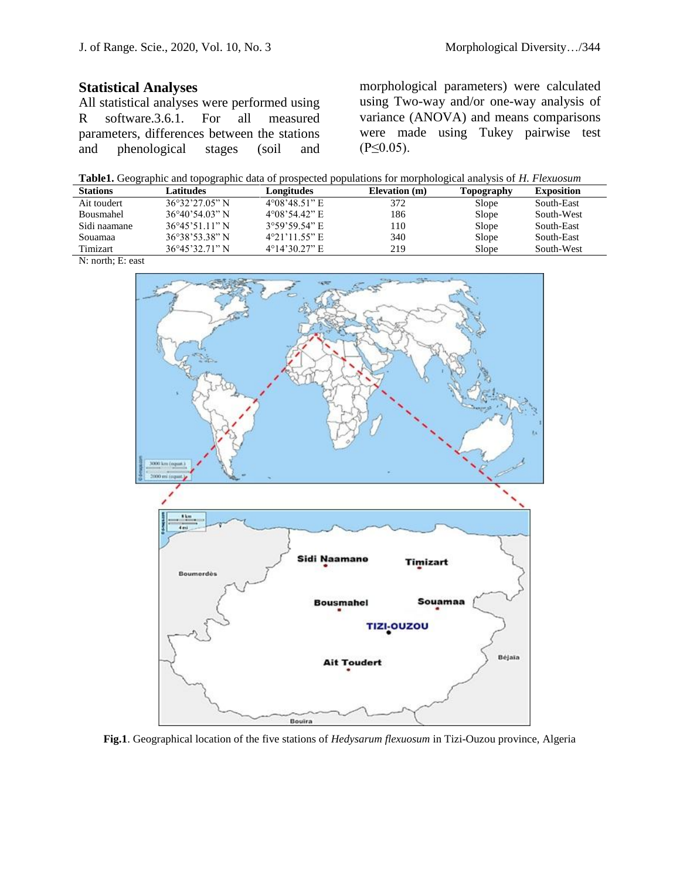# **Statistical Analyses**

All statistical analyses were performed using R software.3.6.1. For all measured parameters, differences between the stations and phenological stages (soil and morphological parameters) were calculated using Two-way and/or one-way analysis of variance (ANOVA) and means comparisons were made using Tukey pairwise test  $(P \le 0.05)$ .

| Table1. Geographic and topographic data of prospected populations for morphological analysis of H. Flexuosum |  |  |
|--------------------------------------------------------------------------------------------------------------|--|--|
|                                                                                                              |  |  |

| <b>Stations</b> | Latitudes                | Longitudes              | Elevation (m) | Topography | <b>Exposition</b> |
|-----------------|--------------------------|-------------------------|---------------|------------|-------------------|
| Ait toudert     | $36^{\circ}32'27.05''$ N | $4^{\circ}08'48.51"$ E  | 372           | Slope      | South-East        |
| Bousmahel       | $36^{\circ}40'54.03"$ N  | $4^{\circ}08'54.42"$ E  | 186           | Slope      | South-West        |
| Sidi naamane    | $36^{\circ}45'51.11"$ N  | $3^{\circ}59'59.54"$ E  | 10            | Slope      | South-East        |
| Souamaa         | 36°38'53.38" N           | $4^{\circ}21'11.55''$ E | 340           | Slope      | South-East        |
| Timizart        | $36^{\circ}45'32.71"$ N  | $4^{\circ}14'30.27"$ E  | 219           | Slope      | South-West        |





**Fig.1**. Geographical location of the five stations of *Hedysarum flexuosum* in Tizi-Ouzou province, Algeria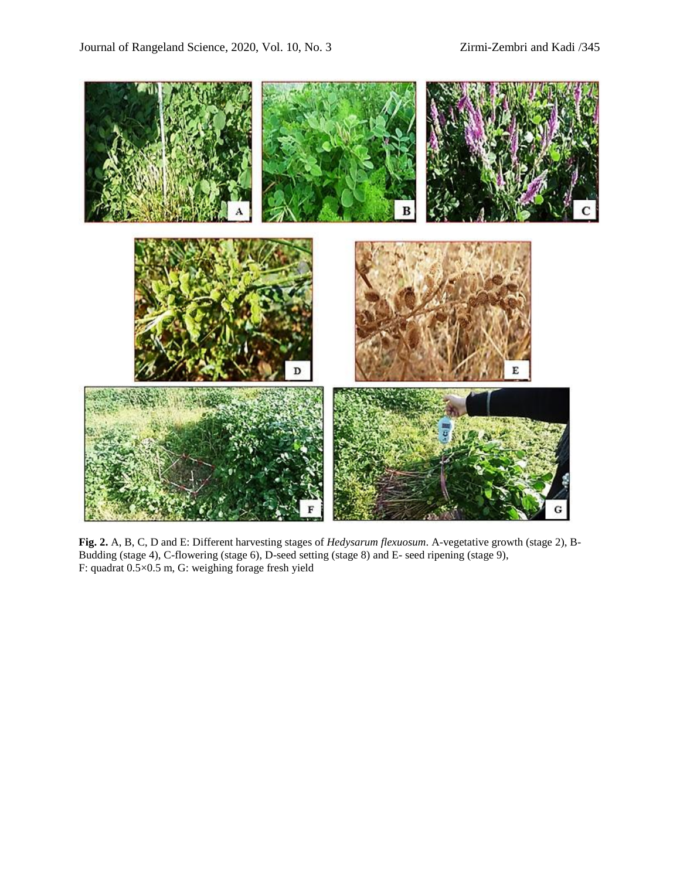

**Fig. 2.** A, B, C, D and E: Different harvesting stages of *Hedysarum flexuosum*. A-vegetative growth (stage 2), B-Budding (stage 4), C-flowering (stage 6), D-seed setting (stage 8) and E- seed ripening (stage 9), F: quadrat 0.5×0.5 m, G: weighing forage fresh yield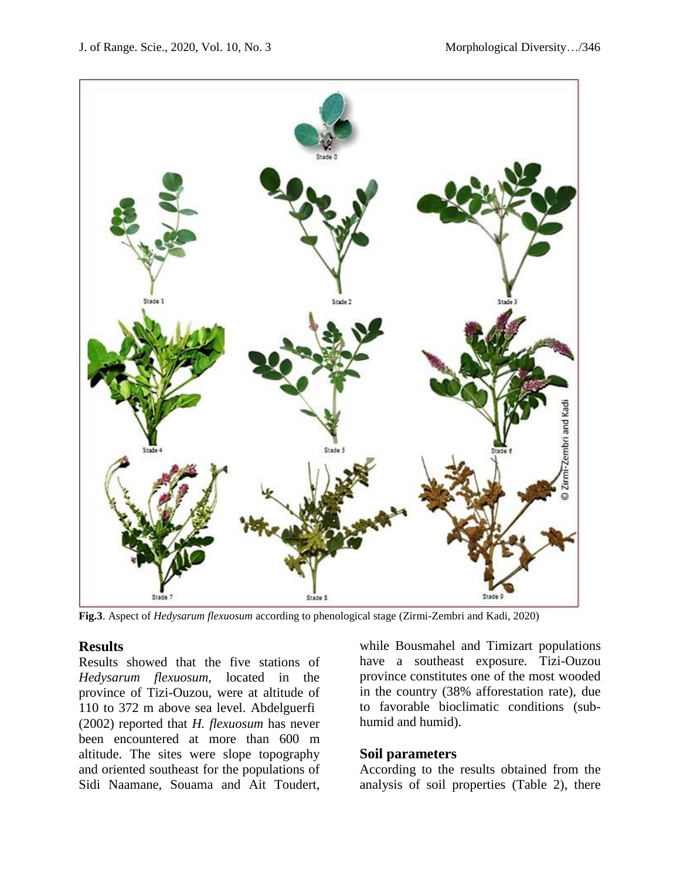

**Fig.3**. Aspect of *Hedysarum flexuosum* according to phenological stage (Zirmi-Zembri and Kadi, 2020)

#### **Results**

Results showed that the five stations of *Hedysarum flexuosum*, located in the province of Tizi-Ouzou, were at altitude of 110 to 372 m above sea level. Abdelguerfi (2002) reported that *H. flexuosum* has never been encountered at more than 600 m altitude. The sites were slope topography and oriented southeast for the populations of Sidi Naamane, Souama and Ait Toudert,

while Bousmahel and Timizart populations have a southeast exposure. Tizi-Ouzou province constitutes one of the most wooded in the country (38% afforestation rate), due to favorable bioclimatic conditions (subhumid and humid).

#### **Soil parameters**

According to the results obtained from the analysis of soil properties (Table 2), there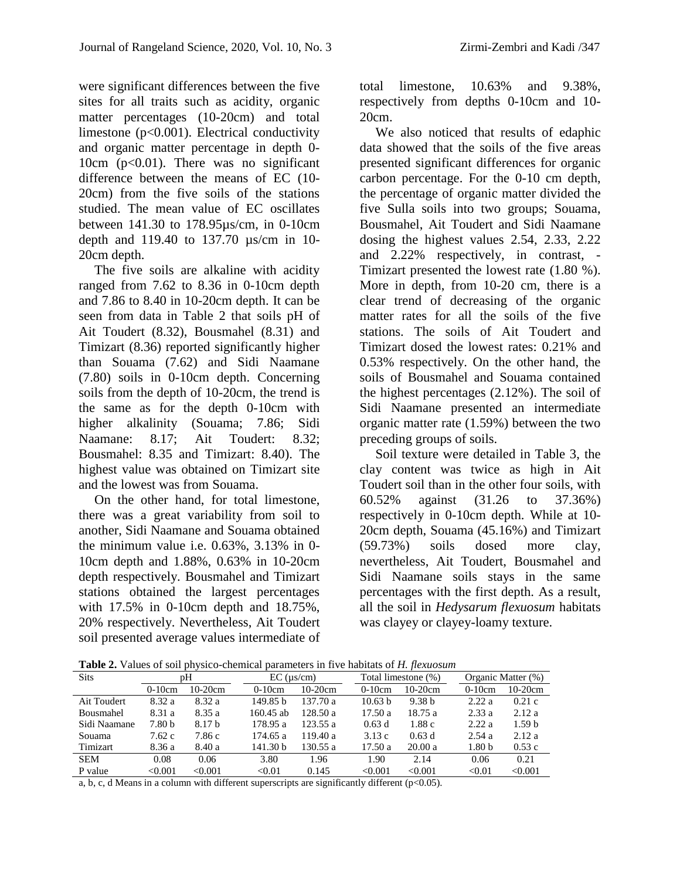were significant differences between the five sites for all traits such as acidity, organic matter percentages (10-20cm) and total limestone (p<0.001). Electrical conductivity and organic matter percentage in depth 0- 10cm (p<0.01). There was no significant difference between the means of EC (10- 20cm) from the five soils of the stations studied. The mean value of EC oscillates between 141.30 to 178.95µs/cm, in 0-10cm depth and 119.40 to 137.70 µs/cm in 10- 20cm depth.

The five soils are alkaline with acidity ranged from 7.62 to 8.36 in 0-10cm depth and 7.86 to 8.40 in 10-20cm depth. It can be seen from data in Table 2 that soils pH of Ait Toudert (8.32), Bousmahel (8.31) and Timizart (8.36) reported significantly higher than Souama (7.62) and Sidi Naamane (7.80) soils in 0-10cm depth. Concerning soils from the depth of 10-20cm, the trend is the same as for the depth 0-10cm with higher alkalinity (Souama; 7.86; Sidi Naamane: 8.17; Ait Toudert: 8.32; Bousmahel: 8.35 and Timizart: 8.40). The highest value was obtained on Timizart site and the lowest was from Souama.

On the other hand, for total limestone, there was a great variability from soil to another, Sidi Naamane and Souama obtained the minimum value i.e. 0.63%, 3.13% in 0- 10cm depth and 1.88%, 0.63% in 10-20cm depth respectively. Bousmahel and Timizart stations obtained the largest percentages with 17.5% in 0-10cm depth and 18.75%, 20% respectively. Nevertheless, Ait Toudert soil presented average values intermediate of

total limestone, 10.63% and 9.38%, respectively from depths 0-10cm and 10- 20cm.

We also noticed that results of edaphic data showed that the soils of the five areas presented significant differences for organic carbon percentage. For the 0-10 cm depth, the percentage of organic matter divided the five Sulla soils into two groups; Souama, Bousmahel, Ait Toudert and Sidi Naamane dosing the highest values 2.54, 2.33, 2.22 and 2.22% respectively, in contrast, - Timizart presented the lowest rate (1.80 %). More in depth, from 10-20 cm, there is a clear trend of decreasing of the organic matter rates for all the soils of the five stations. The soils of Ait Toudert and Timizart dosed the lowest rates: 0.21% and 0.53% respectively. On the other hand, the soils of Bousmahel and Souama contained the highest percentages (2.12%). The soil of Sidi Naamane presented an intermediate organic matter rate (1.59%) between the two preceding groups of soils.

Soil texture were detailed in Table 3, the clay content was twice as high in Ait Toudert soil than in the other four soils, with 60.52% against (31.26 to 37.36%) respectively in 0-10cm depth. While at 10- 20cm depth, Souama (45.16%) and Timizart (59.73%) soils dosed more clay, nevertheless, Ait Toudert, Bousmahel and Sidi Naamane soils stays in the same percentages with the first depth. As a result, all the soil in *Hedysarum flexuosum* habitats was clayey or clayey-loamy texture.

**Table 2.** Values of soil physico-chemical parameters in five habitats of *H. flexuosum*

|              | $- -$    |                   |             |                    |          |                     |                   |                    |  |  |
|--------------|----------|-------------------|-------------|--------------------|----------|---------------------|-------------------|--------------------|--|--|
| <b>Sits</b>  | pΗ       |                   |             | $EC$ ( $\mu$ s/cm) |          | Total limestone (%) |                   | Organic Matter (%) |  |  |
|              | $0-10cm$ | $10-20$ cm        | $0-10cm$    | $10-20$ cm         | $0-10cm$ | $10-20cm$           | $0-10cm$          | $10-20$ cm         |  |  |
| Ait Toudert  | 8.32a    | 8.32 a            | 149.85 b    | 137.70a            | 10.63 b  | 9.38 <sub>b</sub>   | 2.22a             | 0.21c              |  |  |
| Bousmahel    | 8.31 a   | 8.35a             | $160.45$ ab | 128.50a            | 17.50a   | 18.75a              | 2.33a             | 2.12a              |  |  |
| Sidi Naamane | 7.80 b   | 8.17 <sub>b</sub> | 178.95 a    | 123.55a            | 0.63d    | 1.88c               | 2.22a             | 1.59 <sub>b</sub>  |  |  |
| Souama       | 7.62c    | 7.86 c            | 174.65 a    | 119.40a            | 3.13c    | 0.63d               | 2.54a             | 2.12a              |  |  |
| Timizart     | 8.36 a   | 8.40 a            | 141.30 b    | 130.55 a           | 17.50a   | 20.00a              | 1.80 <sub>b</sub> | 0.53c              |  |  |
| <b>SEM</b>   | 0.08     | 0.06              | 3.80        | 1.96               | 1.90     | 2.14                | 0.06              | 0.21               |  |  |
| P value      | < 0.001  | < 0.001           | < 0.01      | 0.145              | < 0.001  | < 0.001             | < 0.01            | < 0.001            |  |  |

a, b, c, d Means in a column with different superscripts are significantly different ( $p<0.05$ ).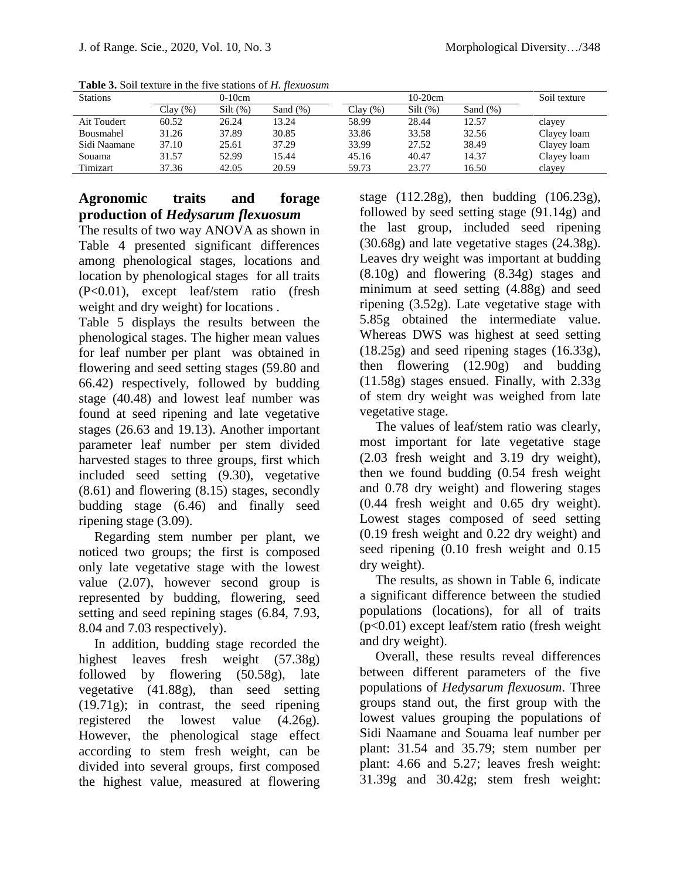| <b>Stations</b> |          | $0-10cm$ |             |         | $10-20cm$   | Soil texture |             |
|-----------------|----------|----------|-------------|---------|-------------|--------------|-------------|
|                 | Clay (%) | Silt(%)  | Sand $(\%)$ | Clav(%) | $Silt (\%)$ | Sand $(\%)$  |             |
| Ait Toudert     | 60.52    | 26.24    | 13.24       | 58.99   | 28.44       | 12.57        | clayey      |
| Bousmahel       | 31.26    | 37.89    | 30.85       | 33.86   | 33.58       | 32.56        | Clayey loam |
| Sidi Naamane    | 37.10    | 25.61    | 37.29       | 33.99   | 27.52       | 38.49        | Clayey loam |
| Souama          | 31.57    | 52.99    | 15.44       | 45.16   | 40.47       | 14.37        | Clayey loam |
| Timizart        | 37.36    | 42.05    | 20.59       | 59.73   | 23.77       | 16.50        | clayey      |

**Table 3.** Soil texture in the five stations of *H. flexuosum*

# **Agronomic traits and forage production of** *Hedysarum flexuosum*

The results of two way ANOVA as shown in Table 4 presented significant differences among phenological stages, locations and location by phenological stages for all traits (P<0.01), except leaf/stem ratio (fresh weight and dry weight) for locations .

Table 5 displays the results between the phenological stages. The higher mean values for leaf number per plant was obtained in flowering and seed setting stages (59.80 and 66.42) respectively, followed by budding stage (40.48) and lowest leaf number was found at seed ripening and late vegetative stages (26.63 and 19.13). Another important parameter leaf number per stem divided harvested stages to three groups, first which included seed setting (9.30), vegetative (8.61) and flowering (8.15) stages, secondly budding stage (6.46) and finally seed ripening stage (3.09).

Regarding stem number per plant, we noticed two groups; the first is composed only late vegetative stage with the lowest value (2.07), however second group is represented by budding, flowering, seed setting and seed repining stages (6.84, 7.93, 8.04 and 7.03 respectively).

In addition, budding stage recorded the highest leaves fresh weight (57.38g) followed by flowering (50.58g), late vegetative (41.88g), than seed setting (19.71g); in contrast, the seed ripening registered the lowest value (4.26g). However, the phenological stage effect according to stem fresh weight, can be divided into several groups, first composed the highest value, measured at flowering stage  $(112.28g)$ , then budding  $(106.23g)$ , followed by seed setting stage (91.14g) and the last group, included seed ripening (30.68g) and late vegetative stages (24.38g). Leaves dry weight was important at budding (8.10g) and flowering (8.34g) stages and minimum at seed setting (4.88g) and seed ripening (3.52g). Late vegetative stage with 5.85g obtained the intermediate value. Whereas DWS was highest at seed setting (18.25g) and seed ripening stages (16.33g), then flowering (12.90g) and budding (11.58g) stages ensued. Finally, with 2.33g of stem dry weight was weighed from late vegetative stage.

The values of leaf/stem ratio was clearly, most important for late vegetative stage (2.03 fresh weight and 3.19 dry weight), then we found budding (0.54 fresh weight and 0.78 dry weight) and flowering stages (0.44 fresh weight and 0.65 dry weight). Lowest stages composed of seed setting (0.19 fresh weight and 0.22 dry weight) and seed ripening (0.10 fresh weight and 0.15 dry weight).

The results, as shown in Table 6, indicate a significant difference between the studied populations (locations), for all of traits (p<0.01) except leaf/stem ratio (fresh weight and dry weight).

Overall, these results reveal differences between different parameters of the five populations of *Hedysarum flexuosum*. Three groups stand out, the first group with the lowest values grouping the populations of Sidi Naamane and Souama leaf number per plant: 31.54 and 35.79; stem number per plant: 4.66 and 5.27; leaves fresh weight: 31.39g and 30.42g; stem fresh weight: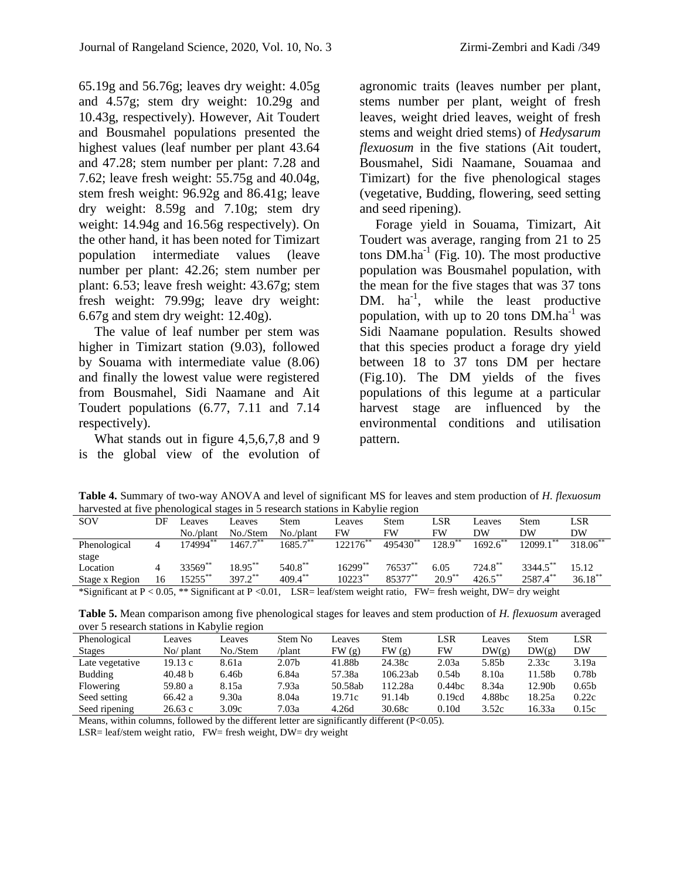65.19g and 56.76g; leaves dry weight: 4.05g and 4.57g; stem dry weight: 10.29g and 10.43g, respectively). However, Ait Toudert and Bousmahel populations presented the highest values (leaf number per plant 43.64 and 47.28; stem number per plant: 7.28 and 7.62; leave fresh weight: 55.75g and 40.04g, stem fresh weight: 96.92g and 86.41g; leave dry weight: 8.59g and 7.10g; stem dry weight: 14.94g and 16.56g respectively). On the other hand, it has been noted for Timizart population intermediate values (leave number per plant: 42.26; stem number per plant: 6.53; leave fresh weight: 43.67g; stem fresh weight: 79.99g; leave dry weight: 6.67g and stem dry weight: 12.40g).

The value of leaf number per stem was higher in Timizart station (9.03), followed by Souama with intermediate value (8.06) and finally the lowest value were registered from Bousmahel, Sidi Naamane and Ait Toudert populations (6.77, 7.11 and 7.14 respectively).

What stands out in figure 4,5,6,7,8 and 9 is the global view of the evolution of

agronomic traits (leaves number per plant, stems number per plant, weight of fresh leaves, weight dried leaves, weight of fresh stems and weight dried stems) of *Hedysarum flexuosum* in the five stations (Ait toudert, Bousmahel, Sidi Naamane, Souamaa and Timizart) for the five phenological stages (vegetative, Budding, flowering, seed setting and seed ripening).

Forage yield in Souama, Timizart, Ait Toudert was average, ranging from 21 to 25 tons  $DM.ha^{-1}$  (Fig. 10). The most productive population was Bousmahel population, with the mean for the five stages that was 37 tons DM.  $ha^{-1}$ , while the least productive population, with up to 20 tons  $\overline{DM}$ .ha<sup>-1</sup> was Sidi Naamane population. Results showed that this species product a forage dry yield between 18 to 37 tons DM per hectare (Fig.10). The DM yields of the fives populations of this legume at a particular harvest stage are influenced by the environmental conditions and utilisation pattern.

**Table 4.** Summary of two-way ANOVA and level of significant MS for leaves and stem production of *H. flexuosum* harvested at five phenological stages in 5 research stations in Kabylie region

| nul vested at five phenological stages in S research stations in ixao (ne region |    |            |                       |             |                                                                      |            |                       |            |                      |               |
|----------------------------------------------------------------------------------|----|------------|-----------------------|-------------|----------------------------------------------------------------------|------------|-----------------------|------------|----------------------|---------------|
| SOV                                                                              | DF | Leaves     | Leaves                | Stem        | Leaves                                                               | Stem       | LSR                   | Leaves     | Stem                 | LSR           |
|                                                                                  |    | No./plant  | No./Stem              | $No$ /plant | FW                                                                   | <b>FW</b>  | FW                    | DW         | DW                   | DW            |
| Phenological                                                                     |    | 174994**   | $1467.7***$           | $1685.7***$ | $122176$ <sup>**</sup>                                               | 495430     | $128.9$ <sup>**</sup> | 1692.6     | 2099.1               | $318.06^{**}$ |
| stage                                                                            |    |            |                       |             |                                                                      |            |                       |            |                      |               |
| Location                                                                         |    | 33569**    | 18.95**               | $540.8***$  | $16299**$                                                            | $76537***$ | 6.05                  | $724.8$ ** | 3344.5 <sup>**</sup> | 15.12         |
| Stage x Region                                                                   | 16 | $15255$ ** | $397.2$ <sup>**</sup> | $409.4***$  | $10223$ **                                                           | 85377**    | $20.9$ <sup>**</sup>  | $426.5$ ** | 2587.4**             | $36.18***$    |
| $\&$ Cianificant at $D \neq 0$ 05 $\&$ Cianificant at $D \neq 0$ 01              |    |            |                       |             | $ICD =$ loof/stom wought notic $LW =$ fuceb wought $DW =$ due wought |            |                       |            |                      |               |

\*Significant at P < 0.05, \*\* Significant at P <0.01, LSR= leaf/stem weight ratio, FW= fresh weight, DW= dry weight

**Table 5.** Mean comparison among five phenological stages for leaves and stem production of *H. flexuosum* averaged over 5 research stations in Kabylie region

| Phenological    | eaves     | eaves    | Stem No           | eaves   | Stem     | LSR               | Leaves             | <b>Stem</b> | LSR               |
|-----------------|-----------|----------|-------------------|---------|----------|-------------------|--------------------|-------------|-------------------|
| <b>Stages</b>   | No/ plant | No./Stem | /plant            | FW(g)   | FW(g)    | FW                | DW(g)              | DW(g)       | DW                |
| Late vegetative | 19.13 c   | 8.61a    | 2.07 <sub>b</sub> | 41.88b  | 24.38c   | 2.03a             | 5.85 <sub>h</sub>  | 2.33c       | 3.19a             |
| <b>Budding</b>  | 40.48 b   | 6.46b    | 6.84a             | 57.38a  | 106.23ab | 0.54 <sub>b</sub> | 8.10a              | 11.58b      | 0.78 <sub>b</sub> |
| Flowering       | 59.80 a   | 8.15a    | 7.93a             | 50.58ab | 12.28a   | $0.44$ bc         | 8.34a              | 12.90b      | 0.65 <sub>b</sub> |
| Seed setting    | 66.42 a   | 9.30a    | 8.04a             | 19.71c  | 91.14b   | 0.19cd            | 4.88 <sub>bc</sub> | 18.25a      | 0.22c             |
| Seed ripening   | 26.63c    | 3.09c    | 7.03a             | 4.26d   | 30.68c   | 0.10d             | 3.52c              | 16.33a      | 0.15c             |

Means, within columns, followed by the different letter are significantly different (P<0.05).

LSR= leaf/stem weight ratio, FW= fresh weight, DW= dry weight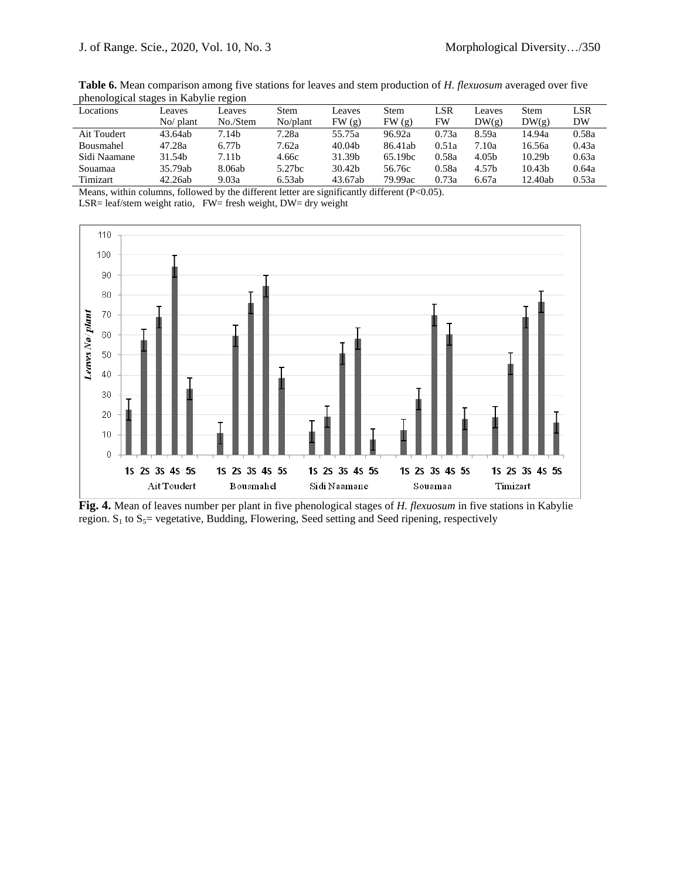| preficiological stages in Kabylie region |            |          |          |         |                     |       |                   |                    |       |
|------------------------------------------|------------|----------|----------|---------|---------------------|-------|-------------------|--------------------|-------|
| Locations                                | eaves      | eaves    | Stem     | Leaves  | Stem                | LSR   | Leaves            | <b>Stem</b>        | LSR   |
|                                          | $No$ plant | No./Stem | No/plant | FW(g)   | FW(g)               | FW    | DW(g)             | DW(g)              | DW    |
| Ait Toudert                              | 43.64ab    | 7.14b    | 7.28a    | 55.75a  | 96.92a              | 0.73a | 8.59a             | 14.94a             | 0.58a |
| Bousmahel                                | 47.28a     | 6.77b    | 7.62a    | 40.04b  | 86.41ab             | 0.51a | 7.10a             | 16.56a             | 0.43a |
| Sidi Naamane                             | 31.54b     | 7.11b    | 4.66с    | 31.39b  | 65.19 <sub>bc</sub> | 0.58a | 4.05b             | 10.29 <sub>b</sub> | 0.63a |
| Souamaa                                  | 35.79ab    | 8.06ab   | 5.27bc   | 30.42b  | 56.76c              | 0.58a | 4.57 <sub>h</sub> | 10.43 <sub>b</sub> | 0.64a |
| Timizart                                 | 42.26ab    | 9.03a    | 6.53ab   | 43.67ab | 79.99ac             | 0.73a | 6.67a             | 12.40ab            | 0.53a |
|                                          |            |          |          |         |                     |       |                   |                    |       |

**Table 6.** Mean comparison among five stations for leaves and stem production of *H. flexuosum* averaged over five phenological stages in Kabylie region

Means, within columns, followed by the different letter are significantly different (P<0.05). LSR= leaf/stem weight ratio, FW= fresh weight, DW= dry weight



**Fig. 4.** Mean of leaves number per plant in five phenological stages of *H. flexuosum* in five stations in Kabylie region.  $S_1$  to  $S_5$  vegetative, Budding, Flowering, Seed setting and Seed ripening, respectively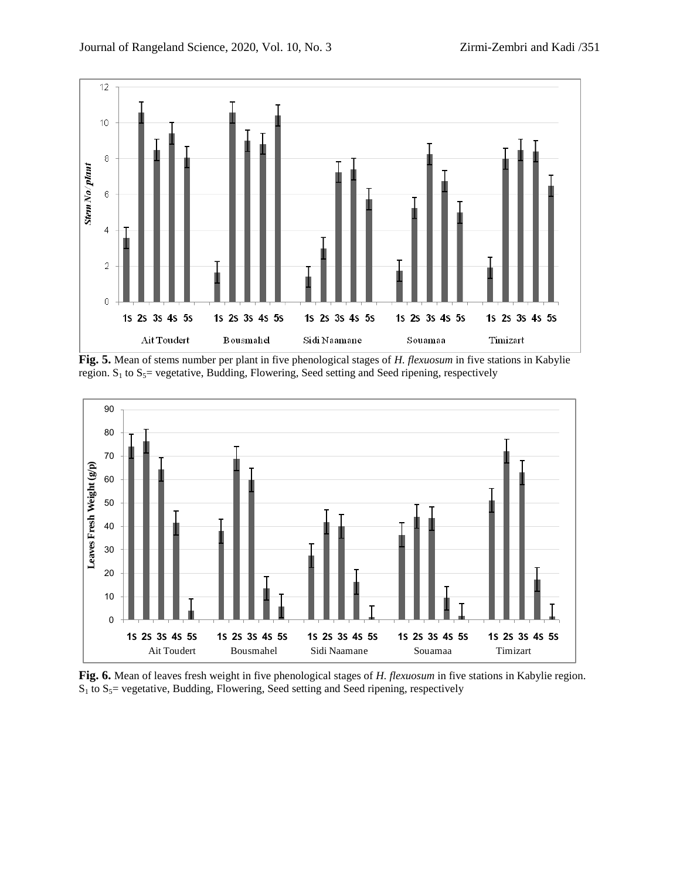

**Fig. 5.** Mean of stems number per plant in five phenological stages of *H. flexuosum* in five stations in Kabylie region.  $S_1$  to  $S_5$  vegetative, Budding, Flowering, Seed setting and Seed ripening, respectively



**Fig. 6.** Mean of leaves fresh weight in five phenological stages of *H. flexuosum* in five stations in Kabylie region.  $S_1$  to  $S_5$  vegetative, Budding, Flowering, Seed setting and Seed ripening, respectively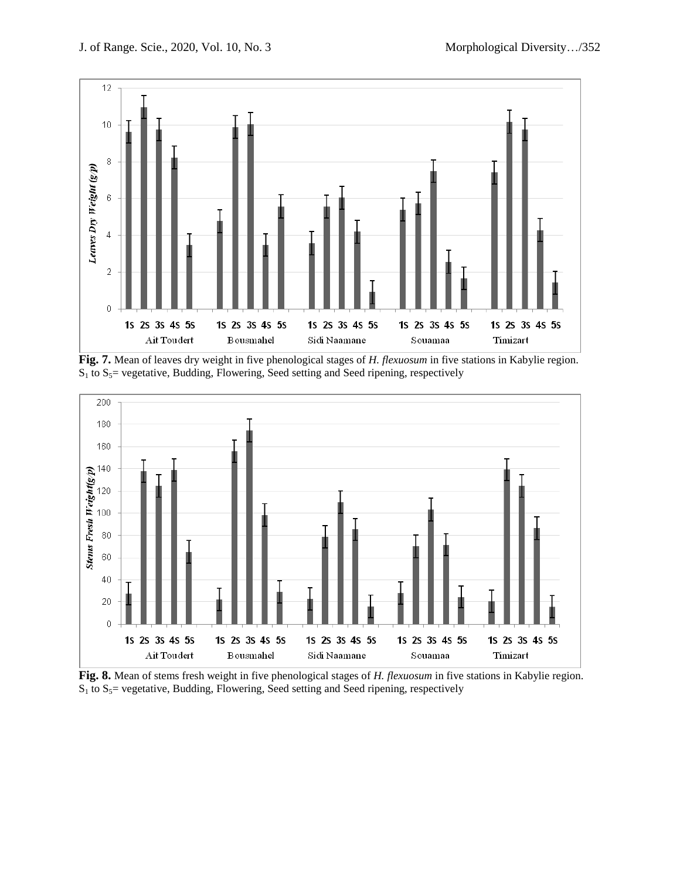

**Fig. 7.** Mean of leaves dry weight in five phenological stages of *H. flexuosum* in five stations in Kabylie region.  $S_1$  to  $S_5$  vegetative, Budding, Flowering, Seed setting and Seed ripening, respectively



**Fig. 8.** Mean of stems fresh weight in five phenological stages of *H. flexuosum* in five stations in Kabylie region.  $S_1$  to  $S_5$  vegetative, Budding, Flowering, Seed setting and Seed ripening, respectively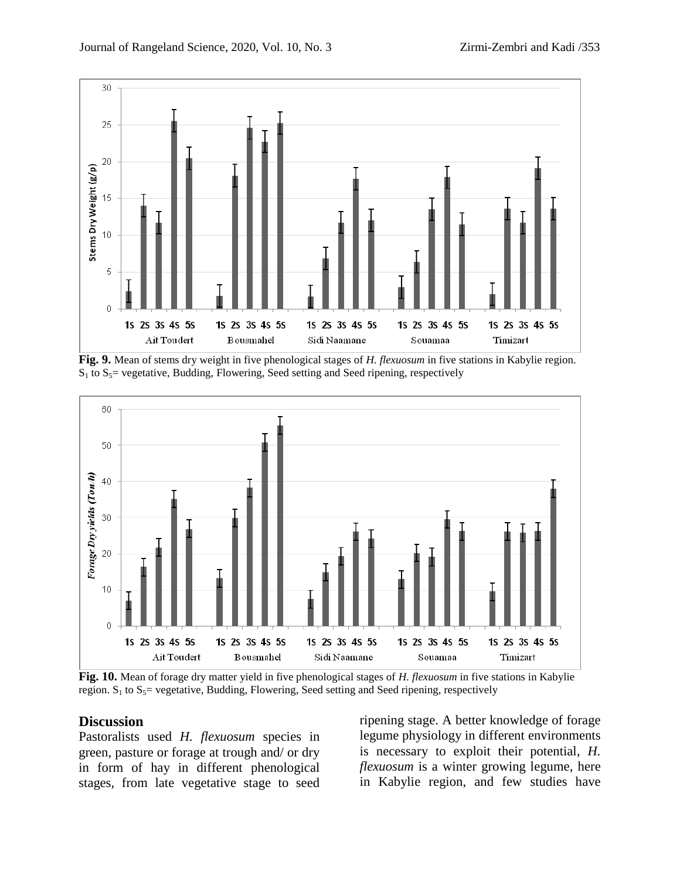

**Fig. 9.** Mean of stems dry weight in five phenological stages of *H. flexuosum* in five stations in Kabylie region.  $S_1$  to  $S_5$  vegetative, Budding, Flowering, Seed setting and Seed ripening, respectively



**Fig. 10.** Mean of forage dry matter yield in five phenological stages of *H. flexuosum* in five stations in Kabylie region.  $S_1$  to  $S_5$ = vegetative, Budding, Flowering, Seed setting and Seed ripening, respectively

### **Discussion**

Pastoralists used *H. flexuosum* species in green, pasture or forage at trough and/ or dry in form of hay in different phenological stages, from late vegetative stage to seed

ripening stage. A better knowledge of forage legume physiology in different environments is necessary to exploit their potential, *H. flexuosum* is a winter growing legume, here in Kabylie region, and few studies have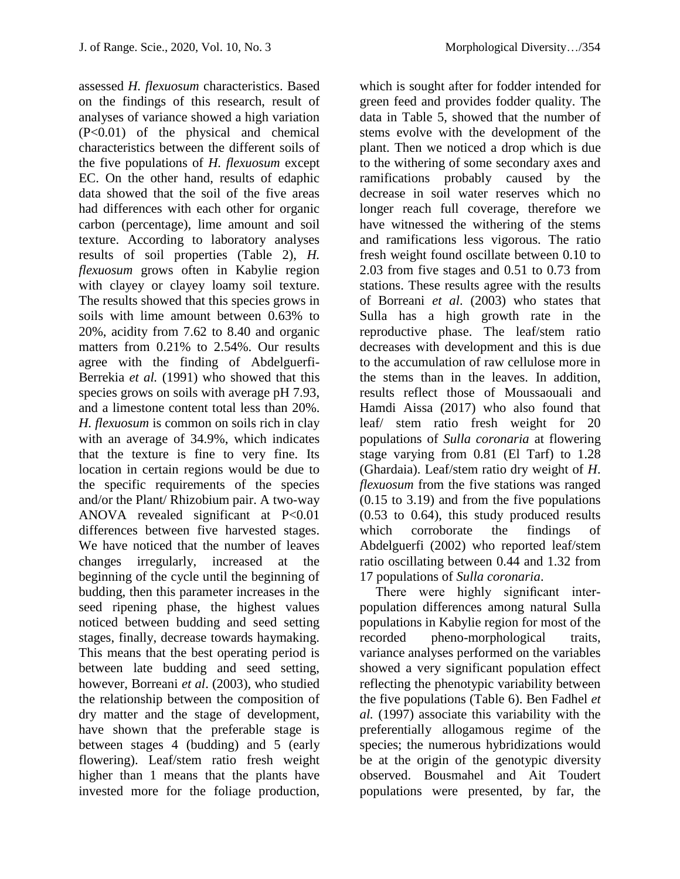assessed *H. flexuosum* characteristics. Based on the findings of this research, result of analyses of variance showed a high variation (P<0.01) of the physical and chemical characteristics between the different soils of the five populations of *H. flexuosum* except EC. On the other hand, results of edaphic data showed that the soil of the five areas had differences with each other for organic carbon (percentage), lime amount and soil texture. According to laboratory analyses results of soil properties (Table 2), *H. flexuosum* grows often in Kabylie region with clayey or clayey loamy soil texture. The results showed that this species grows in soils with lime amount between 0.63% to 20%, acidity from 7.62 to 8.40 and organic matters from 0.21% to 2.54%. Our results agree with the finding of Abdelguerfi-Berrekia *et al.* (1991) who showed that this species grows on soils with average pH 7.93, and a limestone content total less than 20%. *H. flexuosum* is common on soils rich in clay with an average of 34.9%, which indicates that the texture is fine to very fine. Its location in certain regions would be due to the specific requirements of the species and/or the Plant/ Rhizobium pair. A two-way ANOVA revealed significant at P<0.01 differences between five harvested stages. We have noticed that the number of leaves changes irregularly, increased at the beginning of the cycle until the beginning of budding, then this parameter increases in the seed ripening phase, the highest values noticed between budding and seed setting stages, finally, decrease towards haymaking. This means that the best operating period is between late budding and seed setting, however, Borreani *et al*. (2003), who studied the relationship between the composition of dry matter and the stage of development, have shown that the preferable stage is between stages 4 (budding) and 5 (early flowering). Leaf/stem ratio fresh weight higher than 1 means that the plants have invested more for the foliage production,

which is sought after for fodder intended for green feed and provides fodder quality. The data in Table 5, showed that the number of stems evolve with the development of the plant. Then we noticed a drop which is due to the withering of some secondary axes and ramifications probably caused by the decrease in soil water reserves which no longer reach full coverage, therefore we have witnessed the withering of the stems and ramifications less vigorous. The ratio fresh weight found oscillate between 0.10 to 2.03 from five stages and 0.51 to 0.73 from stations. These results agree with the results of Borreani *et al*. (2003) who states that Sulla has a high growth rate in the reproductive phase. The leaf/stem ratio decreases with development and this is due to the accumulation of raw cellulose more in the stems than in the leaves. In addition, results reflect those of Moussaouali and Hamdi Aissa (2017) who also found that leaf/ stem ratio fresh weight for 20 populations of *Sulla coronaria* at flowering stage varying from 0.81 (El Tarf) to 1.28 (Ghardaia). Leaf/stem ratio dry weight of *H*. *flexuosum* from the five stations was ranged (0.15 to 3.19) and from the five populations (0.53 to 0.64), this study produced results which corroborate the findings of Abdelguerfi (2002) who reported leaf/stem ratio oscillating between 0.44 and 1.32 from 17 populations of *Sulla coronaria*.

There were highly significant interpopulation differences among natural Sulla populations in Kabylie region for most of the recorded pheno-morphological traits, variance analyses performed on the variables showed a very significant population effect reflecting the phenotypic variability between the five populations (Table 6). Ben Fadhel *et al.* (1997) associate this variability with the preferentially allogamous regime of the species; the numerous hybridizations would be at the origin of the genotypic diversity observed. Bousmahel and Ait Toudert populations were presented, by far, the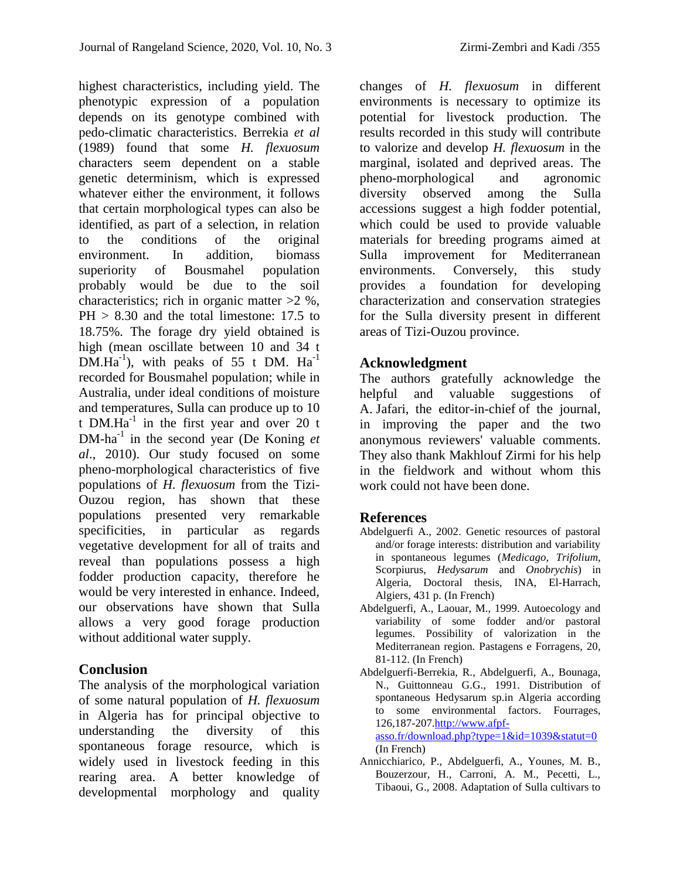highest characteristics, including yield. The phenotypic expression of a population depends on its genotype combined with pedo-climatic characteristics. Berrekia *et al* (1989) found that some *H. flexuosum* characters seem dependent on a stable genetic determinism, which is expressed whatever either the environment, it follows that certain morphological types can also be identified, as part of a selection, in relation to the conditions of the original environment. In addition, biomass superiority of Bousmahel population probably would be due to the soil characteristics; rich in organic matter  $>2$  %. PH > 8.30 and the total limestone: 17.5 to 18.75%. The forage dry yield obtained is high (mean oscillate between 10 and 34 t  $DM.Ha^{-1}$ ), with peaks of 55 t DM.  $Ha^{-1}$ recorded for Bousmahel population; while in Australia, under ideal conditions of moisture and temperatures, Sulla can produce up to 10 t DM. $Ha^{-1}$  in the first year and over 20 t DM-ha<sup>-1</sup> in the second year (De Koning *et al*., 2010). Our study focused on some pheno-morphological characteristics of five populations of *H. flexuosum* from the Tizi-Ouzou region, has shown that these populations presented very remarkable specificities, in particular as regards vegetative development for all of traits and reveal than populations possess a high fodder production capacity, therefore he would be very interested in enhance. Indeed, our observations have shown that Sulla allows a very good forage production without additional water supply.

# **Conclusion**

The analysis of the morphological variation of some natural population of *H. flexuosum* in Algeria has for principal objective to understanding the diversity of this spontaneous forage resource, which is widely used in livestock feeding in this rearing area. A better knowledge of developmental morphology and quality

changes of *H. flexuosum* in different environments is necessary to optimize its potential for livestock production. The results recorded in this study will contribute to valorize and develop *H. flexuosum* in the marginal, isolated and deprived areas. The pheno-morphological and agronomic diversity observed among the Sulla accessions suggest a high fodder potential, which could be used to provide valuable materials for breeding programs aimed at Sulla improvement for Mediterranean environments. Conversely, this study provides a foundation for developing characterization and conservation strategies for the Sulla diversity present in different areas of Tizi-Ouzou province.

# **Acknowledgment**

The authors gratefully acknowledge the helpful and valuable suggestions of A. Jafari, the editor-in-chief of the journal, in improving the paper and the two anonymous reviewers' valuable comments. They also thank Makhlouf Zirmi for his help in the fieldwork and without whom this work could not have been done.

# **References**

- Abdelguerfi A., 2002. Genetic resources of pastoral and/or forage interests: distribution and variability in spontaneous legumes (*Medicago, Trifolium,* Scorpiurus, *Hedysarum* and *Onobrychis*) in Algeria, Doctoral thesis, INA, El-Harrach, Algiers, 431 p. (In French)
- Abdelguerfi, A., Laouar, M., 1999. Autoecology and variability of some fodder and/or pastoral legumes. Possibility of valorization in the Mediterranean region. Pastagens e Forragens, 20, 81-112. (In French)
- Abdelguerfi-Berrekia, R., Abdelguerfi, A., Bounaga, N., Guittonneau G.G., 1991. Distribution of spontaneous Hedysarum sp.in Algeria according to some environmental factors. Fourrages, 126,187-20[7.http://www.afpf](http://www.afpf-asso.fr/download.php?type=1&id=1039&statut=0)[asso.fr/download.php?type=1&id=1039&statut=0](http://www.afpf-asso.fr/download.php?type=1&id=1039&statut=0)
- (In French) Annicchiarico, P., Abdelguerfi, A., Younes, M. B., Bouzerzour, H., Carroni, A. M., Pecetti, L., Tibaoui, G., 2008. Adaptation of Sulla cultivars to